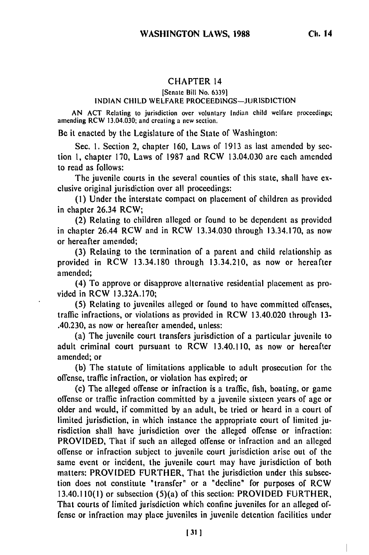## CHAPTER 14

## [Senate Bill No. 6339]

## **INDIAN** CHILD WELFARE **PROCEEDINGS-JURISDICTION**

AN ACT Relating to jurisdiction over voluntary Indian child welfare proceedings; amending RCW 13.04.030; and creating a new section.

Be it enacted by the Legislature of the State of Washington:

Sec. 1. Section 2, chapter 160, Laws of 1913 as last amended by section 1, chapter 170, Laws of 1987 and RCW 13.04.030 are each amended to read as follows:

The juvenile courts in the several counties of this state, shall have exclusive original jurisdiction over all proceedings:

**(1)** Under the interstate compact on placement of children as provided in chapter 26.34 RCW;

(2) Relating to children alleged or found to be dependent as provided in chapter 26.44 RCW and in RCW 13.34.030 through 13.34.170, as now or hereafter amended;

(3) Relating to the termination of a parent and child relationship as provided in RCW 13.34.180 through 13.34.210, as now or hereafter amended;

(4) To approve or disapprove alternative residential placement as provided in RCW 13.32A.170;

(5) Relating to juveniles alleged or found to have committed offenses, traffic infractions, or violations as provided in RCW 13.40.020 through 13- .40.230, as now or hereafter amended, unless:

(a) The juvenile court transfers jurisdiction of a particular juvenile to adult criminal court pursuant to RCW 13.40.110, as now or hereafter amended; or

(b) The statute of limitations applicable to adult prosecution for the offense, traffic infraction, or violation has expired; or

(c) The alleged offense or infraction is a traffic, fish, boating, or game offense or traffic infraction committed by a juvenile sixteen years of age or older and would, if committed by an adult, be tried or heard in a court of limited jurisdiction, in which instance the appropriate court of limited jurisdiction shall have jurisdiction over the alleged offense or infraction: PROVIDED, That if such an alleged offense or infraction and an alleged offense or infraction subject to juvenile court jurisdiction arise out of the same event or incident, the juvenile court may have jurisdiction of both matters: PROVIDED FURTHER, That the jurisdiction under this subsection does not constitute "transfer" or a "decline" for purposes of RCW 13.40.110(1) or subsection (5)(a) of this section: PROVIDED FURTHER, That courts of limited jurisdiction which confine juveniles for an alleged offense or infraction may place juveniles in juvenile detention facilities under